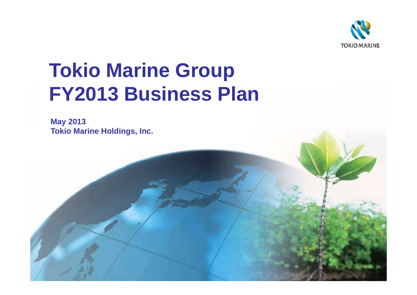

# **Tokio Marine Group FY2013 Business Plan**

**May 2013 Tokio Marine Holdings, Inc.**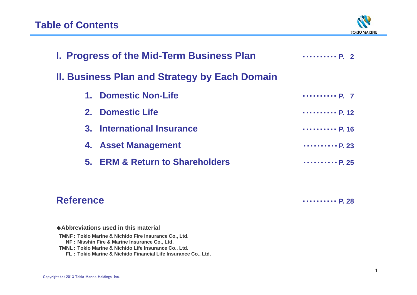

|         | <b>I. Progress of the Mid-Term Business Plan</b><br>$\cdots \cdots \cdots P_2$ 2 |                              |  |  |  |  |  |  |  |
|---------|----------------------------------------------------------------------------------|------------------------------|--|--|--|--|--|--|--|
|         | <b>II. Business Plan and Strategy by Each Domain</b>                             |                              |  |  |  |  |  |  |  |
| $1_{-}$ | <b>Domestic Non-Life</b>                                                         | P. 7                         |  |  |  |  |  |  |  |
|         | 2. Domestic Life                                                                 | P. 12                        |  |  |  |  |  |  |  |
|         | 3. International Insurance                                                       | P. 16                        |  |  |  |  |  |  |  |
|         | 4. Asset Management                                                              | $\cdots \cdots \cdots P. 23$ |  |  |  |  |  |  |  |
|         | 5. ERM & Return to Shareholders                                                  | $\cdots \cdots \cdots P. 25$ |  |  |  |  |  |  |  |
|         |                                                                                  |                              |  |  |  |  |  |  |  |

### **Reference**

・・・・・・・・・・ **P. 28**

◆**Abbreviations used in this material**

**TMNF : Tokio Marine & Nichido Fire Insurance Co., Ltd.**

**NF : Nisshin Fire & Marine Insurance Co., Ltd.**

**TMNL : Tokio Marine & Nichido Life Insurance Co., Ltd.**

**FL : Tokio Marine & Nichido Financial Life Insurance Co., Ltd.**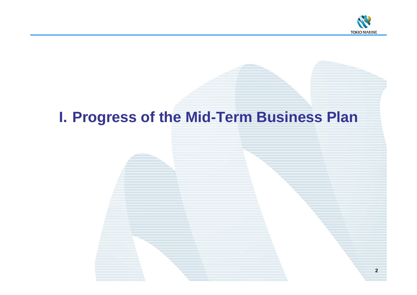

# **I. Progress of the Mid-Term Business Plan**

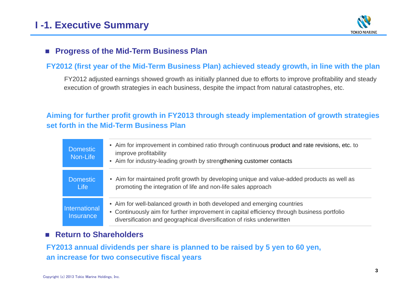

### ■ Progress of the Mid-Term Business Plan

### **FY2012 (first year of the Mid-Term Business Plan) achieved steady growth, in line with the plan**

FY2012 adjusted earnings showed growth as initially planned due to efforts to improve profitability and steady execution of growth strategies in each business, despite the impact from natural catastrophes, etc.

### **Aiming for further profit growth in FY2013 through steady implementation of growth strategies set forth in the Mid-Term Business Plan**

| <b>Domestic</b><br>Non-Life       | • Aim for improvement in combined ratio through continuous product and rate revisions, etc. to<br>improve profitability<br>• Aim for industry-leading growth by strengthening customer contacts                                                  |
|-----------------------------------|--------------------------------------------------------------------------------------------------------------------------------------------------------------------------------------------------------------------------------------------------|
| <b>Domestic</b><br><b>Life</b>    | • Aim for maintained profit growth by developing unique and value-added products as well as<br>promoting the integration of life and non-life sales approach                                                                                     |
| International<br><b>Insurance</b> | • Aim for well-balanced growth in both developed and emerging countries<br>• Continuously aim for further improvement in capital efficiency through business portfolio<br>diversification and geographical diversification of risks underwritten |

### ■ Return to Shareholders

**FY2013 annual dividends per share is planned to be raised by 5 yen to 60 yen, an increase for two consecutive fiscal years**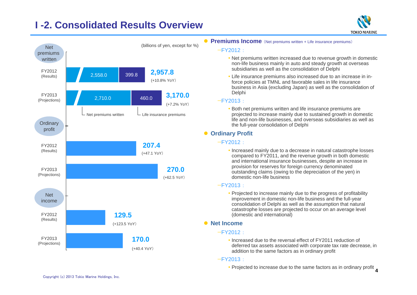# **I -2. Consolidated Results Overview**



#### **Premiums Income** (Net premiums written + Life insurance premiums)

#### $-FY2012$

 Net premiums written increased due to revenue growth in domestic non-life business mainly in auto and steady growth at overseas subsidiaries as well as the consolidation of Delphi

**TOKIO MARINE** 

 Life insurance premiums also increased due to an increase in inforce policies at TMNL and favorable sales in life insurance business in Asia (excluding Japan) as well as the consolidation of Delphi

#### —FY2013 :

 Both net premiums written and life insurance premiums are projected to increase mainly due to sustained growth in domestic life and non-life businesses, and overseas subsidiaries as well as the full-year consolidation of Delphi

### **• Ordinary Profit**

#### —FY2012 :

• Increased mainly due to a decrease in natural catastrophe losses compared to FY2011, and the revenue growth in both domestic and international insurance businesses, despite an increase in provision for reserves for foreign currency denominated outstanding claims (owing to the depreciation of the yen) in domestic non-life business

#### —FY2013 :

• Projected to increase mainly due to the progress of profitability improvement in domestic non-life business and the full-year consolidation of Delphi as well as the assumption that natural catastrophe losses are projected to occur on an average level (domestic and international)

#### **• Net Income**

#### —FY2012 :

• Increased due to the reversal effect of FY2011 reduction of deferred tax assets associated with corporate tax rate decrease, in addition to the same factors as in ordinary profit

#### —FY2013 :

• Projected to increase due to the same factors as in ordinary profit 4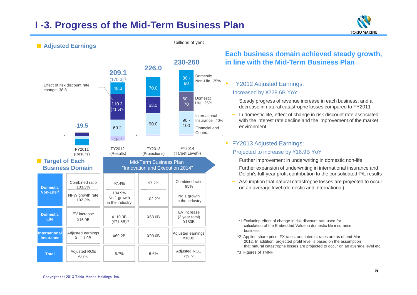### **I -3. Progress of the Mid-Term Business Plan**

(billions of yen)





### ■ **Adjusted Earnings**

**Each business domain achieved steady growth, in line with the Mid-Term Business Plan**

- $\bullet$  FY2012 Adjusted Earnings: Increased by ¥228.6B YoY
	- Steady progress of revenue increase in each business, and a decrease in natural catastrophe losses compared to FY2011
	- In domestic life, effect of change in risk discount rate associated with the interest rate decline and the improvement of the market environment

### FY2013 Adjusted Earnings:

 $\bullet$ 

Projected to increase by ¥16.9B YoY

- Further improvement in underwriting in domestic non-life
- — Further expansion of underwriting in international insurance and Delphi's full-year profit contribution to the consolidated P/L results
- Assumption that natural catastrophe losses are projected to occur on an average level (domestic and international)
	- \*1 Excluding effect of change in risk discount rate used for calculation of the Embedded Value in domestic life insurance business
- \*2 Applied share price, FX rates, and interest rates are as of end-Mar. 2012. In addition, projected profit level is based on the assumption that natural catastrophe losses are projected to occur on an average level etc.
- \*3 Figures of TMNF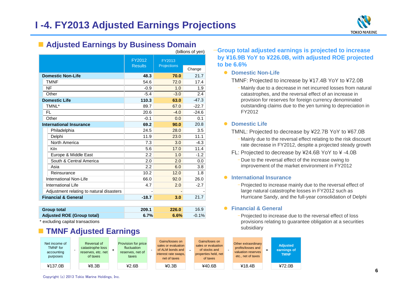

### **Adjusted Earnings by Business Domain**

|                                          |                          |                       | (billions of yen) |
|------------------------------------------|--------------------------|-----------------------|-------------------|
|                                          | FY2012<br><b>Results</b> | FY2013<br>Projections | Change            |
| <b>Domestic Non-Life</b>                 | 48.3                     | 70.0                  | 21.7              |
| <b>TMNF</b>                              | 54.6                     | 72.0                  | 17.4              |
| NF                                       | $-0.9$                   | 1.0                   | 1.9               |
| Other                                    | $-5.4$                   | $-3.0$                | 2.4               |
| <b>Domestic Life</b>                     | 110.3                    | 63.0                  | $-47.3$           |
| TMNL*                                    | 89.7                     | 67.0                  | $-22.7$           |
| FL                                       | 20.6                     | $-4.0$                | $-24.6$           |
| Other                                    | $-0.1$                   | 0.0                   | 0.1               |
| <b>International Insurance</b>           | 69.2                     | 90.0                  | 20.8              |
| Philadelphia                             | 24.5                     | 28.0                  | 3.5               |
| Delphi                                   | 11.9                     | 23.0                  | 11.1              |
| North America                            | 7.3                      | 3.0                   | $-4.3$            |
| Kiln                                     | 5.6                      | 17.0                  | 11.4              |
| Europe & Middle East                     | 2.2                      | 1.0                   | $-1.2$            |
| South & Central America                  | 2.0                      | 2.0                   | 0.0               |
| Asia                                     | 2.2                      | 6.0                   | 3.8               |
| Reinsurance                              | 10.2                     | 12.0                  | 1.8               |
| International Non-Life                   | 66.0                     | 92.0                  | 26.0              |
| International Life                       | 4.7                      | 2.0                   | $-2.7$            |
| Adjustment relating to natural disasters |                          |                       |                   |
| <b>Financial &amp; General</b>           | $-18.7$                  | 3.0                   | 21.7              |
|                                          |                          |                       |                   |

| <b>Group total</b>         | 209.1 | 226.0 | 16.9     |
|----------------------------|-------|-------|----------|
| Adjusted ROE (Group total) | 6.7%  | 6.6%  | $-0.1\%$ |

excluding capital transactions

#### F. **TMNF Adjusted Earnings**

#### Net income of TMNF foraccounting purposes Reversal of catastrophe loss reserves, etc. net of taxes  $\overline{f}$ Provision for price fluctuation reserves, net of taxes -Gains/losses on sales or evaluation of ALM bonds andinterest rate swaps, net of taxes -Gains/loses on sales or evaluation of stocks andproperties held, net of taxes Other extraordinary profits/losses and valuation reserves etc., net of taxes  $=$ **Adjusted earnings of** ¥137.0B ¥8.3B ¥2.6B ¥0.3B ¥40.6B ¥18.4B ¥72.0B¥72.0B

### —**Group total adjusted earnings is projected to increase by ¥16.9B YoY to ¥226.0B, with adjusted ROE projected to be 6.6%**

#### **• Domestic Non-Life**

TMNF: Projected to increase by ¥17.4B YoY to ¥72.0B

‒ Mainly due to a decrease in net incurred losses from natural catastrophes, and the reversal effect of an increase in provision for reserves for foreign currency denominated outstanding claims due to the yen turning to depreciation in FY2012

#### **• Domestic Life**

TMNL: Projected to decrease by ¥22.7B YoY to ¥67.0B

- ‒ Mainly due to the reversal effect relating to the risk discount rate decrease in FY2012, despite a projected steady growth
- FL: Projected to decrease by ¥24.6B YoY to ¥ -4.0B
	- ‒ Due to the reversal effect of the increase owing to improvement of the market environment in FY2012

#### **International Insurance**

‒Projected to increase mainly due to the reversal effect of large natural catastrophe losses in FY2012 such as Hurricane Sandy, and the full-year consolidation of Delphi

#### **Financial & General**

‒Projected to increase due to the reversal effect of loss provisions relating to guarantee obligation at a securities subsidiary

**TMNF**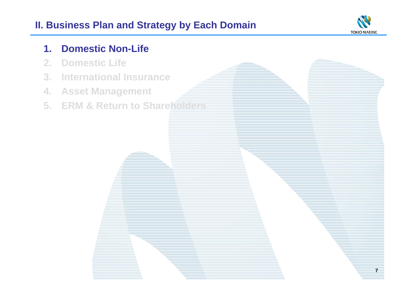# **II. Business Plan and Strategy by Each Domain**



**7**

# **1. Domestic Non-Life**

- **2. Domestic Life**
- **3. International Insurance**
- **4. Asset Management**
- **5. ERM & Return to Shareholders**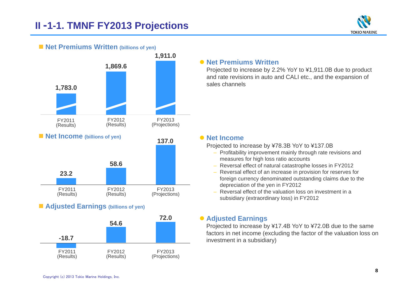



#### ■ **Net Premiums Written** (billions of yen)

### **Adjusted Earnings (billions of yen)**



### **• Net Premiums Written**

Projected to increase by 2.2% YoY to ¥1,911.0B due to product and rate revisions in auto and CALI etc., and the expansion of sales channels

#### **Net Income**

Projected to increase by ¥78.3B YoY to ¥137.0B

- Profitability improvement mainly through rate revisions and measures for high loss ratio accounts
- Reversal effect of natural catastrophe losses in FY2012
- Reversal effect of an increase in provision for reserves for foreign currency denominated outstanding claims due to the depreciation of the yen in FY2012
- Reversal effect of the valuation loss on investment in a subsidiary (extraordinary loss) in FY2012

### **Adjusted Earnings**

Projected to increase by ¥17.4B YoY to ¥72.0B due to the same factors in net income (excluding the factor of the valuation loss on investment in a subsidiary)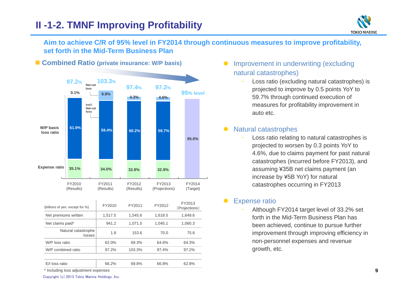# **II -1-2. TMNF Improving Profitability**



### **Aim to achieve C/R of 95% level in FY2014 through continuous measures to improve profitability, set forth in the Mid-Term Business Plan**

### ■ Combined Ratio (private insurance: W/P basis)



| (billions of yen, except for %)      | FY2010  | FY2011  | FY2012  | FY2013<br>(Projections) |
|--------------------------------------|---------|---------|---------|-------------------------|
| Net premiums written                 | 1,517.5 | 1.545.6 | 1,618.5 | 1.649.6                 |
| Net claims paid*                     | 941.2   | 1.071.5 | 1.045.1 | 1,060.3                 |
| Natural catastrophe<br>losses        | 1.8     | 153.6   | 70.0    | 75.6                    |
| W/P loss ratio                       | 62.0%   | 69.3%   | 64.6%   | 64.3%                   |
| W/P combined ratio                   | 97.2%   | 103.3%  | 97.4%   | 97.2%                   |
|                                      |         |         |         |                         |
| E/I loss ratio                       | 66.2%   | 69.8%   | 66.8%   | 62.8%                   |
| * Including loss adjustment expenses |         |         |         |                         |

- $\bullet$  Improvement in underwriting (excluding natural catastrophes)
	- Loss ratio (excluding natural catastrophes) is projected to improve by 0.5 points YoY to 59.7% through continued execution of measures for profitability improvement in auto etc.

#### $\bullet$ Natural catastrophes

 Loss ratio relating to natural catastrophes is projected to worsen by 0.3 points YoY to 4.6%, due to claims payment for past natural catastrophes (incurred before FY2013), and assuming ¥35B net claims payment (an increase by ¥5B YoY) for natural catastrophes occurring in FY2013

#### $\bullet$ Expense ratio

 Although FY2014 target level of 33.2% set forth in the Mid-Term Business Plan has been achieved, continue to pursue further improvement through improving efficiency in non-personnel expenses and revenue growth, etc.

Including loss adjustment expenses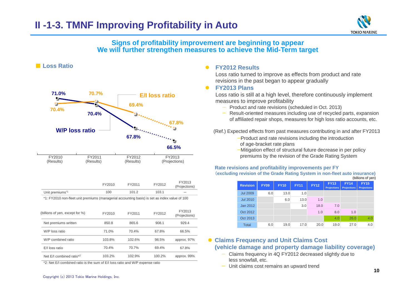

### **Signs of profitability improvement are beginning to appear We will further strengthen measures to achieve the Mid-Term target**



■ **Loss Ratio**

|                             | FY2010 | FY2011 | FY2012 | FY2013<br>(Projections) |
|-----------------------------|--------|--------|--------|-------------------------|
| Unit premiums <sup>*1</sup> | 100    | 101.2  | 103.1  |                         |
|                             |        |        |        |                         |

\*1: FY2010 non-fleet unit premiums (managerial accounting basis) is set as index value of 100

| (billions of yen, except for %) | FY2010 | FY2011 | FY2012 | FY2013<br>(Projections) |
|---------------------------------|--------|--------|--------|-------------------------|
| Net premiums written            | 850.8  | 865.6  | 908.1  | 929.4                   |
| W/P loss ratio                  | 71.0%  | 70.4%  | 67.8%  | 66.5%                   |
| W/P combined ratio              | 103.8% | 102.6% | 98.5%  | approx. 97%             |
| E/I loss ratio                  | 70.4%  | 70.7%  | 69.4%  | 67.8%                   |
| Net E/I combined ratio*2        | 103.2% | 102.9% | 100.2% | approx. 99%             |

\*2: Net E/I combined ratio is the sum of E/I loss ratio and W/P expense ratio

#### $\bullet$ **FY2012 Results**

Loss ratio turned to improve as effects from product and rate revisions in the past began to appear gradually

#### $\bullet$ **FY2013 Plans**

Loss ratio is still at a high level, therefore continuously implement measures to improve profitability

- Product and rate revisions (scheduled in Oct. 2013)
- Result-oriented measures including use of recycled parts, expansion of affiliated repair shops, measures for high loss ratio accounts, etc.

(Ref.) Expected effects from past measures contributing in and after FY2013

- —Product and rate revisions including the introduction of age-bracket rate plans
- —Mitigation effect of structural future decrease in per policy premiums by the revision of the Grade Rating System

#### **Rate revisions and profitability improvements per FY**

(**excluding revision of the Grade Rating System in non-fleet auto insurance)** (billions of yen)

| <b>Revision</b> | <b>FY09</b> | <b>FY10</b> | <b>FY11</b> | <b>FY12</b> | <b>FY13</b><br><b>Projections</b> | <b>FY14</b><br><b>Projections</b> | <b>FY15</b><br><b>Projections</b> |
|-----------------|-------------|-------------|-------------|-------------|-----------------------------------|-----------------------------------|-----------------------------------|
| <b>Jul 2009</b> | 6.0         | 13.0        | 1.0         |             |                                   |                                   |                                   |
| <b>Jul 2010</b> |             | 6.0         | 13.0        | 1.0         |                                   |                                   |                                   |
| Jan 2012        |             |             | 3.0         | 18.0        | 7.0                               |                                   |                                   |
| Oct 2012        |             |             |             | 1.0         | 8.0                               | 1.0                               |                                   |
| Oct 2013        |             |             |             |             | 4.0                               | 26.0                              | 4.0                               |
| <b>Total</b>    | 6.0         | 19.0        | 17.0        | 20.0        | 19.0                              | 27.0                              | 4.0                               |

### **Claims Frequency and Unit Claims Cost (vehicle damage and property damage liability coverage)**

- Claims frequency in 4Q FY2012 decreased slightly due to less snowfall, etc.
- Unit claims cost remains an upward trend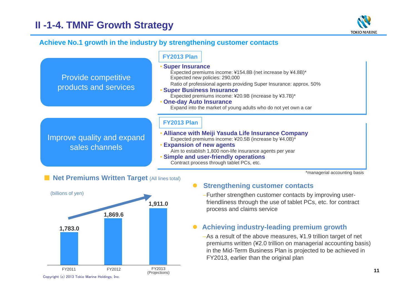

### **Achieve No.1 growth in the industry by strengthening customer contacts**

|                                                     | <b>FY2013 Plan</b>                                                                                                                                                                                                                                                                                                                                                                    |
|-----------------------------------------------------|---------------------------------------------------------------------------------------------------------------------------------------------------------------------------------------------------------------------------------------------------------------------------------------------------------------------------------------------------------------------------------------|
| <b>Provide competitive</b><br>products and services | • Super Insurance<br>Expected premiums income: ¥154.8B (net increase by ¥4.8B)*<br>Expected new policies: 290,000<br>Ratio of professional agents providing Super Insurance: approx. 50%<br><b>• Super Business Insurance</b><br>Expected premiums income: ¥20.9B (increase by ¥3.7B)*<br>• One-day Auto Insurance<br>Expand into the market of young adults who do not yet own a car |
| Improve quality and expand<br>sales channels        | <b>FY2013 Plan</b><br>• Alliance with Meiji Yasuda Life Insurance Company<br>Expected premiums income: ¥20.5B (increase by ¥4.0B)*<br><b>Expansion of new agents</b><br>Aim to establish 1,800 non-life insurance agents per year<br>• Simple and user-friendly operations                                                                                                            |

Contract process through tablet PCs, etc.

\*managerial accounting basis

### **EXTER Premiums Written Target (All lines total)**



#### $\bullet$ **Strengthening customer contacts**

–Further strengthen customer contacts by improving userfriendliness through the use of tablet PCs, etc. for contract process and claims service

#### $\bullet$ **Achieving industry-leading premium growth**

–As a result of the above measures, ¥1.9 trillion target of net premiums written (¥2.0 trillion on managerial accounting basis) in the Mid-Term Business Plan is projected to be achieved in FY2013, earlier than the original plan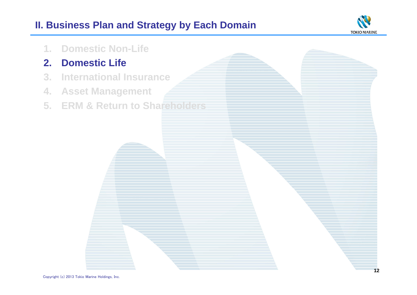# **II. Business Plan and Strategy by Each Domain**



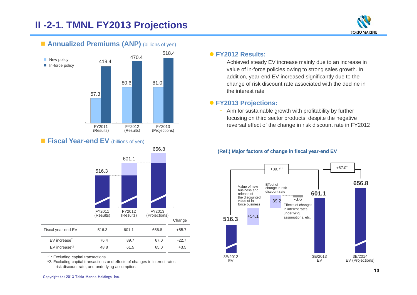# **II -2-1. TMNL FY2013 Projections**



### **Fiscal Year-end EV** (billions of yen)



\*1: Excluding capital transactions

\*2: Excluding capital transactions and effects of changes in interest rates, risk discount rate, and underlying assumptions

 Achieved steady EV increase mainly due to an increase in value of in-force policies owing to strong sales growth. In addition, year-end EV increased significantly due to the change of risk discount rate associated with the decline in the interest rate

### **FY2013 Projections:**

– Aim for sustainable growth with profitability by further focusing on third sector products, despite the negative reversal effect of the change in risk discount rate in FY2012

### **(Ref.) Major factors of change in fiscal year-end EV**



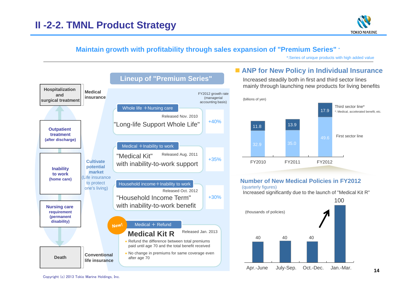

### **Maintain growth with profitability through sales expansion of "Premium Series" \***

\*:Series of unique products with high added value



### **ANP for New Policy in Individual Insurance**

Increased steadily both in first and third sector lines mainly through launching new products for living benefits



#### **Number of New Medical Policies in FY2012**(quarterly figures)

Increased significantly due to the launch of "Medical Kit R"

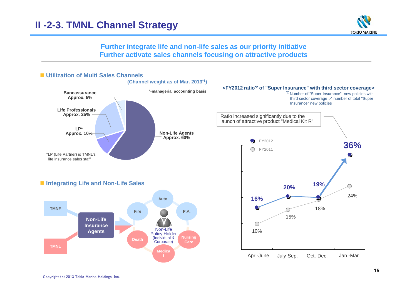

**Further integrate life and non-life sales as our priority initiative Further activate sales channels focusing on attractive products**

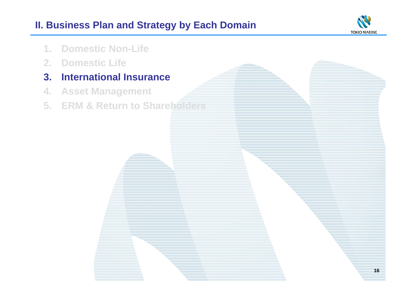# **II. Business Plan and Strategy by Each Domain**



**16**

- **1. Domestic Non-Life**
- **2. Domestic Life**
- **3. International Insurance**
- **4. Asset Management**
- **5. ERM & Return to Shareholders**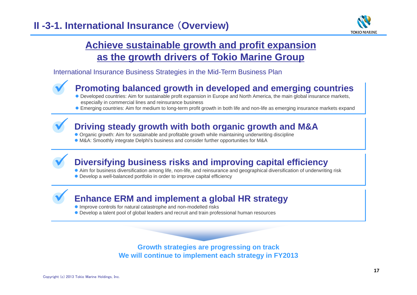

# **Achieve sustainable growth and profit expansion as the growth drivers of Tokio Marine Group**

International Insurance Business Strategies in the Mid-Term Business Plan



### **Promoting balanced growth in developed and emerging countries**

- Developed countries: Aim for sustainable profit expansion in Europe and North America, the main global insurance markets, especially in commercial lines and reinsurance business
- Emerging countries: Aim for medium to long-term profit growth in both life and non-life as emerging insurance markets expand



### **Driving steady growth with both organic growth and M&A**

- Organic growth: Aim for sustainable and profitable growth while maintaining underwriting discipline
- M&A: Smoothly integrate Delphi's business and consider further opportunities for M&A

# **Diversifying business risks and improving capital efficiency**

- Aim for business diversification among life, non-life, and reinsurance and geographical diversification of underwriting risk
- Develop a well-balanced portfolio in order to improve capital efficiency

### **Enhance ERM and implement a global HR strategy**

- **Improve controls for natural catastrophe and non-modelled risks**
- Develop a talent pool of global leaders and recruit and train professional human resources

**Growth strategies are progressing on track We will continue to implement each strategy in FY2013**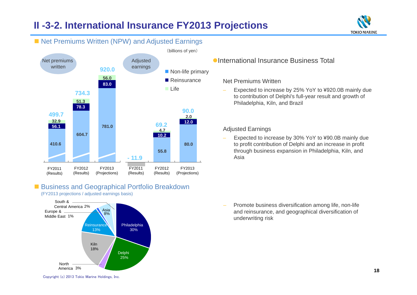# **II -3-2. International Insurance FY2013 Projections**



#### **499.7734.3920.069.290.0- 11.9** Net premiums writtenAdjusted earnings **32.9 51.356.0 781.0604.7410.6 83.0 78.3 56.1 12.02.055.880.010.2**■ Non-life primary ■ Reinsurance ■ Life (billions of yen) FY2011(Results) FY2012(Results) FY2013(Projections) FY2011(Results) FY2012(Results) FY2013(Projections) **4.7**

■ Net Premiums Written (NPW) and Adjusted Earnings

### **Business and Geographical Portfolio Breakdown** (FY2013 projections / adjusted earnings basis)

Europe & Middle East 1%South &Central America 2% Philadelphia 30%Delphi North America3%13% Reinsurance Kiln18%25% Asia 8%

### International Insurance Business Total

Net Premiums Written

 Expected to increase by 25% YoY to ¥920.0B mainly due to contribution of Delphi's full-year result and growth of Philadelphia, Kiln, and Brazil

Adjusted Earnings

 Expected to increase by 30% YoY to ¥90.0B mainly due to profit contribution of Delphi and an increase in profit through business expansion in Philadelphia, Kiln, and Asia

 Promote business diversification among life, non-life and reinsurance, and geographical diversification of underwriting risk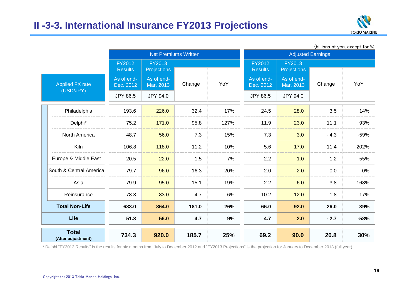

|                                     |                          | <b>Net Premiums Written</b>  |        |      |                          | <b>Adjusted Earnings</b>            |        | Ominuits of you, except for 10) |
|-------------------------------------|--------------------------|------------------------------|--------|------|--------------------------|-------------------------------------|--------|---------------------------------|
|                                     | FY2012<br><b>Results</b> | FY2013<br><b>Projections</b> |        |      | FY2012<br><b>Results</b> | <b>FY2013</b><br><b>Projections</b> |        |                                 |
| <b>Applied FX rate</b><br>(USD/JPY) | As of end-<br>Dec. 2012  | As of end-<br>Mar. 2013      | Change | YoY  | As of end-<br>Dec. 2012  | As of end-<br>Mar. 2013             | Change | YoY                             |
|                                     | JPY 86.5                 | JPY 94.0                     |        |      | JPY 86.5                 | JPY 94.0                            |        |                                 |
| Philadelphia                        | 193.6                    | 226.0                        | 32.4   | 17%  | 24.5                     | 28.0                                | 3.5    | 14%                             |
| Delphi*                             | 75.2                     | 171.0                        | 95.8   | 127% | 11.9                     | 23.0                                | 11.1   | 93%                             |
| North America                       | 48.7                     | 56.0                         | 7.3    | 15%  | 7.3                      | 3.0                                 | $-4.3$ | $-59%$                          |
| Kiln                                | 106.8                    | 118.0                        | 11.2   | 10%  | 5.6                      | 17.0                                | 11.4   | 202%                            |
| Europe & Middle East                | 20.5                     | 22.0                         | 1.5    | 7%   | 2.2                      | 1.0                                 | $-1.2$ | $-55%$                          |
| South & Central America             | 79.7                     | 96.0                         | 16.3   | 20%  | 2.0                      | 2.0                                 | 0.0    | $0\%$                           |
| Asia                                | 79.9                     | 95.0                         | 15.1   | 19%  | 2.2                      | 6.0                                 | 3.8    | 168%                            |
| Reinsurance                         | 78.3                     | 83.0                         | 4.7    | 6%   | 10.2                     | 12.0                                | 1.8    | 17%                             |
| <b>Total Non-Life</b>               | 683.0                    | 864.0                        | 181.0  | 26%  | 66.0                     | 92.0                                | 26.0   | 39%                             |
| <b>Life</b>                         | 51.3                     | 56.0                         | 4.7    | 9%   | 4.7                      | 2.0                                 | $-2.7$ | $-58%$                          |
| <b>Total</b><br>(After adjustment)  | 734.3                    | 920.0                        | 185.7  | 25%  | 69.2                     | 90.0                                | 20.8   | 30%                             |

 $(hillions of *van*, *event for*  $\%)$$ 

\* Delphi "FY2012 Results" is the results for six months from July to December 2012 and "FY2013 Projections" is the projection for January to December 2013 (full year)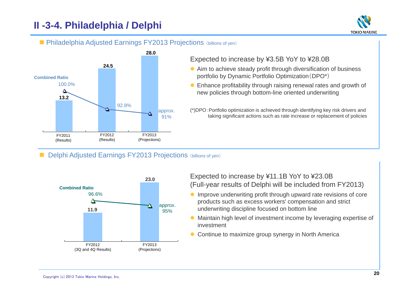# **II -3-4. Philadelphia / Delphi**



### **Philadelphia Adjusted Earnings FY2013 Projections** (billions of yen)



### Expected to increase by ¥3.5B YoY to ¥28.0B

- Aim to achieve steady profit through diversification of business portfolio by Dynamic Portfolio Optimization(DPO\*)
- Enhance profitability through raising renewal rates and growth of new policies through bottom-line oriented underwriting
- (\*)DPO:Portfolio optimization is achieved through identifying key risk drivers and taking significant actions such as rate increase or replacement of policies

### Delphi Adjusted Earnings FY2013 Projections (billions of yen)



### Expected to increase by ¥11.1B YoY to ¥23.0B (Full-year results of Delphi will be included from FY2013) **Combined Ratio**

- Improve underwriting profit through upward rate revisions of core products such as excess workers' compensation and strict underwriting discipline focused on bottom line
- Maintain high level of investment income by leveraging expertise of investment
- Continue to maximize group synergy in North America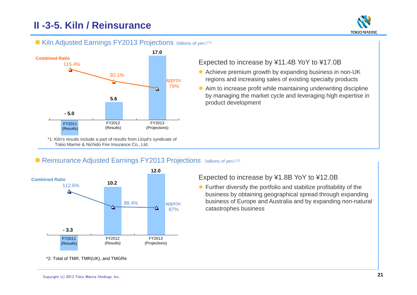# **II -3-5. Kiln / Reinsurance**



### **Kiln Adjusted Earnings FY2013 Projections** (billions of yen)<sup>(\*1)</sup>



\*1: Kiln's results include a part of results from Lloyd's syndicate of Tokio Marine & Nichido Fire Insurance Co., Ltd.

### Expected to increase by ¥11.4B YoY to ¥17.0B

- Achieve premium growth by expanding business in non-UK regions and increasing sales of existing specialty products
- Aim to increase profit while maintaining underwriting discipline by managing the market cycle and leveraging high expertise in product development

### Reinsurance Adjusted Earnings FY2013 Projections (billions of yen)<sup>(\*2)</sup>



Expected to increase by ¥1.8B YoY to ¥12.0B

● Further diversify the portfolio and stabilize profitability of the business by obtaining geographical spread through expanding business of Europe and Australia and by expanding non-natural catastrophes business

\*2: Total of TMR, TMR(UK), and TMGRe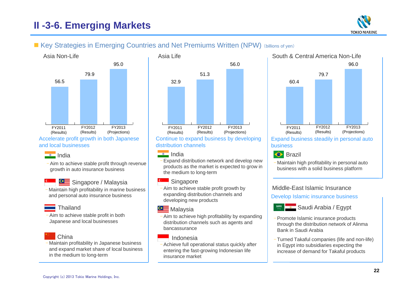# **II -3-6. Emerging Markets**



### **Example Xey Strategies in Emerging Countries and Net Premiums Written (NPW)** (billions of yen)



#### and local businesses



– Aim to achieve stable profit through revenue growth in auto insurance business



Singapore / Malaysia

– Maintain high profitability in marine business and personal auto insurance business



– Aim to achieve stable profit in both Japanese and local businesses



### China

– Maintain profitability in Japanese business and expand market share of local business in the medium to long-term



Continue to expand business by developing distribution channels

### $\bullet$  India

 Expand distribution network and develop new products as the market is expected to grow in the medium to long-term

#### **Singapore**

– Aim to achieve stable profit growth by expanding distribution channels and developing new products

### **GE** Malaysia

– Aim to achieve high profitability by expanding distribution channels such as agents and bancassurance

#### Indonesia

– Achieve full operational status quickly after entering the fast-growing Indonesian life insurance market



business

Brazil

– Maintain high profitability in personal auto business with a solid business platform

### Middle-East Islamic Insurance

Develop Islamic insurance business



- Promote Islamic insurance products through the distribution network of Alinma Bank in Saudi Arabia
- Turned Takaful companies (life and non-life) in Egypt into subsidiaries expecting the increase of demand for Takaful products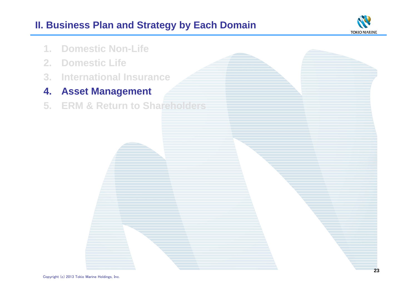# **II. Business Plan and Strategy by Each Domain**



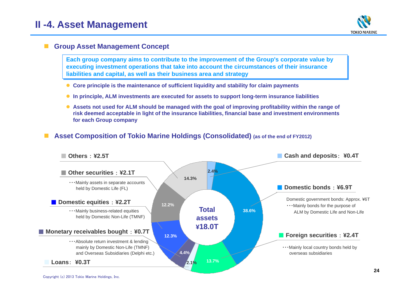

### **Group Asset Management Concept**

**Each group company aims to contribute to the improvement of the Group's corporate value by executing investment operations that take into account the circumstances of their insurance liabilities and capital, as well as their business area and strategy**

- **Core principle is the maintenance of sufficient liquidity and stability for claim payments**
- **In principle, ALM investments are executed for assets to support long-term insurance liabilities**
- **Assets not used for ALM should be managed with the goal of improving profitability within the range of risk deemed acceptable in light of the insurance liabilities, financial base and investment environments for each Group company**

#### × **Asset Composition of Tokio Marine Holdings (Consolidated) (as of the end of FY2012)**

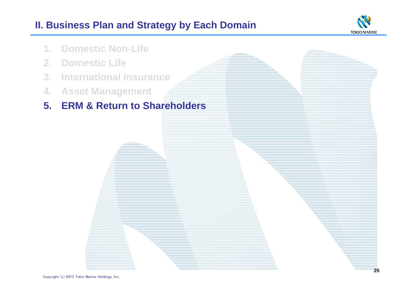# **II. Business Plan and Strategy by Each Domain**



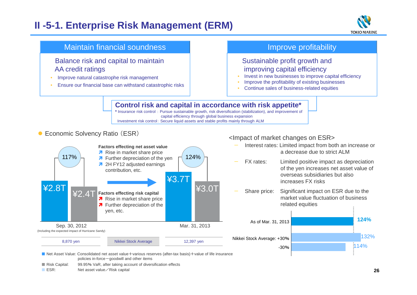# **II -5-1. Enterprise Risk Management (ERM)**





■ ESR: Net asset value/Risk capital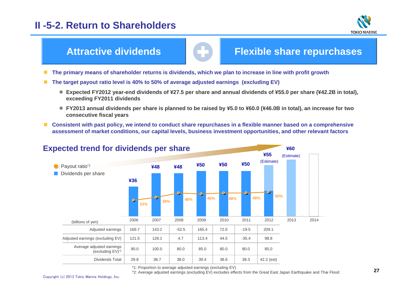### **II -5-2. Return to Shareholders**



### **Attractive dividends**

### **Flexible share repurchases**

- **The primary means of shareholder returns is dividends, which we plan to increase in line with profit growth**
- **The target payout ratio level is 40% to 50% of average adjusted earnings (excluding EV)** 
	- **Expected FY2012 year-end dividends of ¥27.5 per share and annual dividends of ¥55.0 per share (¥42.2B in total), exceeding FY2011 dividends**
	- **FY2013 annual dividends per share is planned to be raised by ¥5.0 to ¥60.0 (¥46.0B in total), an increase for two consecutive fiscal years**
- Consistent with past policy, we intend to conduct share repurchases in a flexible manner based on a comprehensive **assessment of market conditions, our capital levels, business investment opportunities, and other relevant factors**



\*1: Proportion to average adjusted earnings (excluding EV)

\*2: Average adjusted earnings (excluding EV) excludes effects from the Great East Japan Earthquake and Thai Flood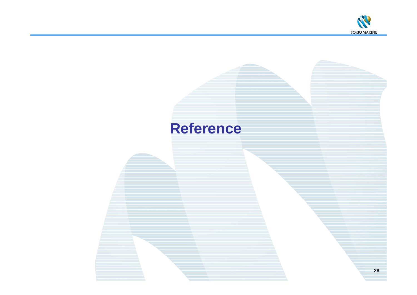

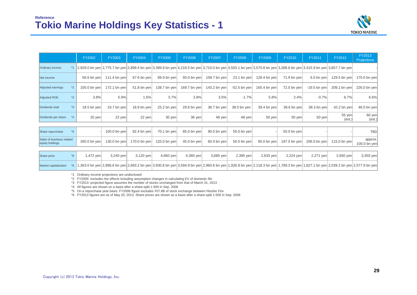

|                                              |         | FY2002       | <b>FY2003</b>        | <b>FY2004</b> | <b>FY2005</b> | <b>FY2006</b> | <b>FY2007</b>    | <b>FY2008</b>  | <b>FY2009</b> | FY2010       | FY2011         | FY2012                                                                                                                                                                  | FY2013<br>Projections   |
|----------------------------------------------|---------|--------------|----------------------|---------------|---------------|---------------|------------------|----------------|---------------|--------------|----------------|-------------------------------------------------------------------------------------------------------------------------------------------------------------------------|-------------------------|
| Ordinary income                              |         |              |                      |               |               |               |                  |                |               |              |                | *1 2,929.0 bn yen 2,775.7 bn yen 2,899.4 bn yen 3,399.9 bn yen 4,218.5 bn yen 3,710.0 bn yen 3,503.1 bn yen 3,570.8 bn yen 3,288.6 bn yen 3,415.9 bn yen 3,857.7 bn yen |                         |
| Net income                                   |         | 56.6 bn yen  | 111.4 bn yen $\vert$ | 67.6 bn yen   | 89.9 bn yen   | 93.0 bn yen   | 108.7 bn yen $ $ | 23.1 bn yen    | 128.4 bn yen  | 71.9 bn yen  | 6.0 bn yen     | 129.5 bn yen!                                                                                                                                                           | 170.0 bn yen            |
| Adjusted earnings                            | $*2$    | 105.0 bn yen | 172.1 bn yen         | 51.8 bn yen   | 138.7 bn yen  | 169.7 bn yen  | 143.2 bn yen     | $-52.5$ bn yen | 165.4 bn yen  | 72.0 bn yen  | $-19.5$ bn yen | 209.1 bn yen                                                                                                                                                            | 226.0 bn yen            |
| Adjusted ROE                                 | $*2$    | 3.8%         | 5.9%                 | 1.6%          | 3.7%          | 3.8%          | 3.5%             | $-1.7%$        | 5.8%          | 2.4%         | $-0.7%$        | 6.7%                                                                                                                                                                    | 6.6%                    |
| Dividends total                              | $*3$    | 18.5 bn yen  | 19.7 bn yen          | 18.9 bn yen   | 25.2 bn yen   | 29.8 bn yen   | 38.7 bn yen      | 38.0 bn yen    | 39.4 bn yen   | 38.6 bn yen  | 38.3 bn yen    | 42.2 bn yen                                                                                                                                                             | 46.0 bn yen             |
| Dividends per share                          | $*_{4}$ | $20$ yen     | 22 yen               | $22$ yen      | $30$ yen      | 36 yen        | 48 yen           | 48 yen         | $50$ yen      | 50 yen       | 50 yen         | 55 yen<br>(est.)                                                                                                                                                        | 60 yen<br>(est.)        |
|                                              |         |              |                      |               |               |               |                  |                |               |              |                |                                                                                                                                                                         |                         |
| Share repurchase                             | $*5$    |              | 100.0 bn yen $\vert$ | 92.4 bn yen   | 70.1 bn yen   | 85.0 bn yen   | $90.0$ bn yen    | 50.0 bn yen    |               | 50.0 bn yen  |                |                                                                                                                                                                         | <b>TBD</b>              |
| Sales of business related<br>equity holdings |         | 260.0 bn yen | 130.0 bn yen         | 170.0 bn yen  | 120.0 bn yen  | 45.0 bn yen   | 60.0 bn yen      | 50.0 bn yen    | 95.0 bn yen   | 187.0 bn yen | 206.0 bn yen   | 115.0 bn yen                                                                                                                                                            | approx.<br>100.0 bn yen |

| Share price           | .472 ven | $3,240$ yen | $3,120$ yen | 4,660 yen                                                                                                                                                                                             | $4,360$ yen | 3,680 ven | 2,395 yen | $2,633$ yen | 2,224 yen | 2.271 ven | $2,650$ yen | 3,350 yen |
|-----------------------|----------|-------------|-------------|-------------------------------------------------------------------------------------------------------------------------------------------------------------------------------------------------------|-------------|-----------|-----------|-------------|-----------|-----------|-------------|-----------|
| Market capitalization |          |             |             | *6 1,363.0 bn yen 2,896.6 bn yen 2,683.2 bn yen 3,930.8 bn yen 3,594.9 bn yen 2,960.6 bn yen 1,926.8 bn yen 2,118.3 bn yen 1,789.3 bn yen 1,827.1 bn yen 2,039.2 bn yen 2,039.2 bn yen 2,577.9 bn yen |             |           |           |             |           |           |             |           |

\*1 Ordinary income projections are undisclosed

\*2 FY2005: excludes the effects including assumption changes in calculating EV of domestic life

\*3 FY2013: projected figure assumes the number of stocks unchanged from that of March 31, 2013

\*4 All figures are shown on a basis after a share-split 1-500 in Sep. 2006

\*5 On a repurchase year basis. FY2006 figure excludes \57.8B of stock exchange between Nisshin Fire

\*6 FY2013 figures are as of May 20, 2013. Share prices are shown as a basis after a share-split 1-500 in Sep. 2006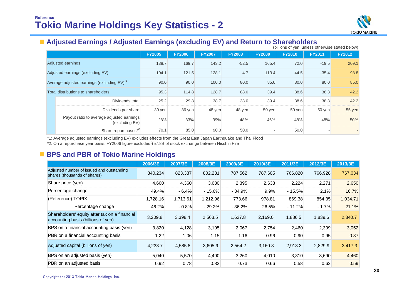

# **Adjusted Earnings / Adjusted Earnings (excluding EV) and Return to Shareholders** (billions of yen, unless otherwise stated below)

|                                          | (Diffiorms of year, urliess otherwise stated below)         |               |               |               |               |               |               |               |               |
|------------------------------------------|-------------------------------------------------------------|---------------|---------------|---------------|---------------|---------------|---------------|---------------|---------------|
|                                          |                                                             | <b>FY2005</b> | <b>FY2006</b> | <b>FY2007</b> | <b>FY2008</b> | <b>FY2009</b> | <b>FY2010</b> | <b>FY2011</b> | <b>FY2012</b> |
|                                          | Adjusted earnings                                           | 138.7         | 169.7         | 143.2         | $-52.5$       | 165.4         | 72.0          | $-19.5$       | 209.1         |
| Adjusted earnings (excluding EV)         |                                                             | 104.1         | 121.5         | 128.1         | 4.7           | 113.4         | 44.5          | $-35.4$       | 98.8          |
| Average adjusted earnings (excluding EV) |                                                             | 90.0          | 90.0          | 100.0         | 80.0          | 85.0          | 80.0          | 80.0          | 85.0          |
| Total distributions to shareholders      |                                                             | 95.3          | 114.8         | 128.7         | 88.0          | 39.4          | 88.6          | 38.3          | 42.2          |
|                                          | Dividends total                                             | 25.2          | 29.8          | 38.7          | 38.0          | 39.4          | 38.6          | 38.3          | 42.2          |
|                                          | Dividends per share                                         | 30 yen        | 36 yen        | 48 yen        | 48 yen        | 50 yen        | 50 yen        | 50 yen        | 55 yen        |
|                                          | Payout ratio to average adjusted earnings<br>(excluding EV) | 28%           | 33%           | 39%           | 48%           | 46%           | 48%           | 48%           | 50%           |
|                                          | Share repurchases*2                                         | 70.1          | 85.0          | 90.0          | 50.0          |               | 50.0          |               |               |

\*1: Average adjusted earnings (excluding EV) excludes effects from the Great East Japan Earthquake and Thai Flood

\*2: On a repurchase year basis. FY2006 figure excludes \57.8B of stock exchange between Nisshin Fire

### **BPS and PBR of Tokio Marine Holdings**

|                                                                                     | 2006/3E  | 2007/3E  | 2008/3E  | 2009/3E  | 2010/3E | 2011/3E  | 2012/3E | 2013/3E  |
|-------------------------------------------------------------------------------------|----------|----------|----------|----------|---------|----------|---------|----------|
| Adjusted number of issued and outstanding<br>shares (thousands of shares)           | 840,234  | 823,337  | 802,231  | 787,562  | 787,605 | 766,820  | 766,928 | 767,034  |
| Share price (yen)                                                                   | 4,660    | 4,360    | 3,680    | 2,395    | 2,633   | 2,224    | 2,271   | 2,650    |
| Percentage change                                                                   | 49.4%    | $-6.4%$  | $-15.6%$ | $-34.9%$ | 9.9%    | $-15.5%$ | 2.1%    | 16.7%    |
| (Reference) TOPIX                                                                   | 1,728.16 | 1,713.61 | 1,212.96 | 773.66   | 978.81  | 869.38   | 854.35  | 1,034.71 |
| Percentage change                                                                   | 46.2%    | $-0.8%$  | $-29.2%$ | $-36.2%$ | 26.5%   | $-11.2%$ | $-1.7%$ | 21.1%    |
| Shareholders' equity after tax on a financial<br>accounting basis (billions of yen) | 3,209.8  | 3,398.4  | 2,563.5  | 1,627.8  | 2,169.0 | 1,886.5  | 1,839.6 | 2,340.7  |
| BPS on a financial accounting basis (yen)                                           | 3,820    | 4,128    | 3,195    | 2,067    | 2,754   | 2,460    | 2,399   | 3,052    |
| PBR on a financial accounting basis                                                 | 1.22     | 1.06     | 1.15     | 1.16     | 0.96    | 0.90     | 0.95    | 0.87     |
| Adjusted capital (billions of yen)                                                  | 4,238.7  | 4,585.8  | 3,605.9  | 2,564.2  | 3,160.8 | 2,918.3  | 2,829.9 | 3,417.3  |
| BPS on an adjusted basis (yen)                                                      | 5,040    | 5,570    | 4,490    | 3,260    | 4,010   | 3,810    | 3,690   | 4,460    |
| PBR on an adjusted basis                                                            | 0.92     | 0.78     | 0.82     | 0.73     | 0.66    | 0.58     | 0.62    | 0.59     |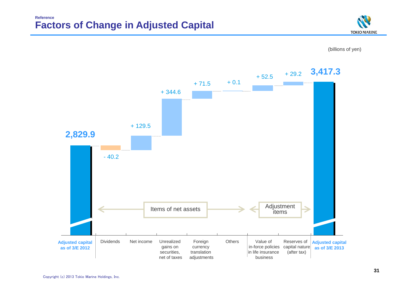### **Factors of Change in Adjusted Capital Reference**





(billions of yen)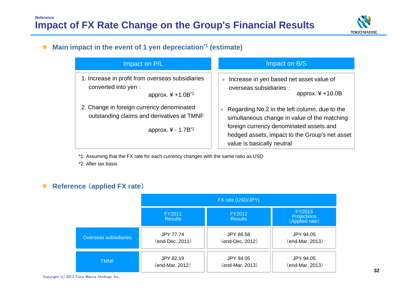

#### $\bullet$ **Main impact in the event of 1 yen depreciation\*1 (estimate)**

| Impact on P/L                                                                                                             | Impact on B/S                                                                                                                                                                                                                              |
|---------------------------------------------------------------------------------------------------------------------------|--------------------------------------------------------------------------------------------------------------------------------------------------------------------------------------------------------------------------------------------|
| 1. Increase in profit from overseas subsidiaries<br>converted into yen:<br>approx. $4 + 1.0B^{2}$                         | Increase in yen based net asset value of<br>$\bullet$<br>overseas subsidiaries :<br>approx. $4 + 10.0B$                                                                                                                                    |
| 2. Change in foreign currency denominated<br>outstanding claims and derivatives at TMNF<br>approx. ¥ - 1.7B <sup>*2</sup> | Regarding No.2 in the left column, due to the<br>$\blacksquare$<br>simultaneous change in value of the matching<br>foreign currency denominated assets and<br>hedged assets, impact to the Group's net asset<br>value is basically neutral |

\*1: Assuming that the FX rate for each currency changes with the same ratio as USD \*2: After tax basis

#### $\bullet$ **Reference** (**applied FX rate**)

|                       | FX rate (USD/JPY)        |                          |                                                |  |
|-----------------------|--------------------------|--------------------------|------------------------------------------------|--|
|                       | FY2011<br><b>Results</b> | FY2012<br><b>Results</b> | FY2013<br><b>Projections</b><br>(Applied rate) |  |
| Overseas subsidiaries | <b>JPY 77.74</b>         | <b>JPY 86.58</b>         | JPY 94.05                                      |  |
|                       | (end-Dec. 2011)          | (end-Dec. 2012)          | (end-Mar. 2013)                                |  |
| <b>TMNF</b>           | JPY 82.19                | JPY 94.05                | JPY 94.05                                      |  |
|                       | (end-Mar. 2012)          | (end-Mar. 2013)          | (end-Mar. 2013)                                |  |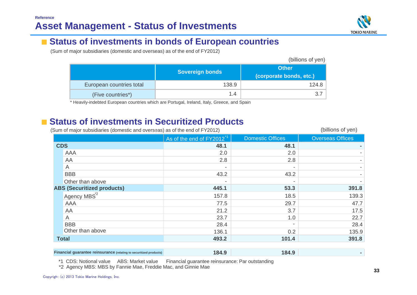

#### ■**Status of investments in bonds of European countries**

(Sum of major subsidiaries (domestic and overseas) as of the end of FY2012)

|                          |                        | (billions of yen)                       |
|--------------------------|------------------------|-----------------------------------------|
|                          | <b>Sovereign bonds</b> | <b>Other</b><br>(corporate bonds, etc.) |
| European countries total | 138.9                  | 124.8                                   |
| (Five countries*)        | 1.4                    | 3.7                                     |

\* Heavily-indebted European countries which are Portugal, Ireland, Italy, Greece, and Spain

### ■ **Status of investments in Securitized Products**

| (Sum of major subsidiaries (domestic and overseas) as of the end of FY2012) |                                       |                          | (billions of yen)       |
|-----------------------------------------------------------------------------|---------------------------------------|--------------------------|-------------------------|
|                                                                             | As of the end of FY2012 <sup>*1</sup> | <b>Domestic Offices</b>  | <b>Overseas Offices</b> |
| <b>CDS</b>                                                                  | 48.1                                  | 48.1                     |                         |
| AAA                                                                         | 2.0                                   | 2.0                      |                         |
| AA                                                                          | 2.8                                   | 2.8                      |                         |
| A                                                                           |                                       |                          |                         |
| <b>BBB</b>                                                                  | 43.2                                  | 43.2                     |                         |
| Other than above                                                            |                                       |                          |                         |
| <b>ABS (Securitized products)</b>                                           | 445.1                                 | 53.3                     | 391.8                   |
| Agency MBS <sup>2</sup>                                                     | 157.8                                 | 18.5                     | 139.3                   |
| AAA                                                                         | 77.5                                  | 29.7                     | 47.7                    |
| AA                                                                          | 21.2                                  | 3.7                      | 17.5                    |
| A                                                                           | 23.7                                  | 1.0                      | 22.7                    |
| <b>BBB</b>                                                                  | 28.4                                  | $\overline{\phantom{0}}$ | 28.4                    |
| Other than above                                                            | 136.1                                 | 0.2                      | 135.9                   |
| <b>Total</b>                                                                | 493.2                                 | 101.4                    | 391.8                   |
|                                                                             |                                       |                          |                         |

| <b>Financial guarantee reinsurance (relating to securitized products)</b> | xа | 84<br>and the second state of the |  |
|---------------------------------------------------------------------------|----|-----------------------------------|--|
|---------------------------------------------------------------------------|----|-----------------------------------|--|

\*1 CDS: Notional value ABS: Market value Financial guarantee reinsurance: Par outstanding

\*2 Agency MBS: MBS by Fannie Mae, Freddie Mac, and Ginnie Mae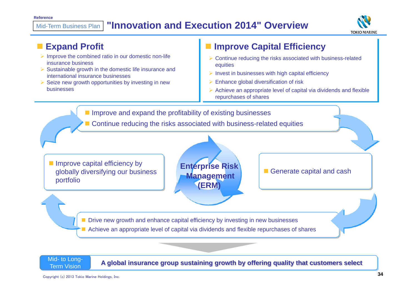#### **"Innovation and Execution 2014" Overview**Mid-Term Business Plan





**Term Vision** 

Mid- to Long-<br>Term Vision Care A global insurance group sustaining growth by offering quality that customers select

Copyright (c) 2013 Tokio Marine Holdings, Inc.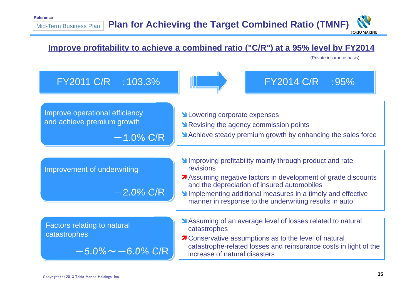### **Improve profitability to achieve a combined ratio ("C/R") at a 95% level by FY2014**

(Private insurance basis)

| FY2011 C/R : 103.3%                                                                |                                                                                                                                                                                                                                                                                                            | FY2014 C/R : 95% |  |  |  |
|------------------------------------------------------------------------------------|------------------------------------------------------------------------------------------------------------------------------------------------------------------------------------------------------------------------------------------------------------------------------------------------------------|------------------|--|--|--|
| Improve operational efficiency<br>and achieve premium growth<br>$-1.0\%$ C/R       | <b>N</b> Lowering corporate expenses<br>No Revising the agency commission points<br>Achieve steady premium growth by enhancing the sales force                                                                                                                                                             |                  |  |  |  |
| Improvement of underwriting<br>$-2.0\%$ C/R                                        | Improving profitability mainly through product and rate<br>revisions<br>Assuming negative factors in development of grade discounts<br>and the depreciation of insured automobiles<br>Implementing additional measures in a timely and effective<br>manner in response to the underwriting results in auto |                  |  |  |  |
| <b>Factors relating to natural</b><br>catastrophes<br>$-5.0\%$ $\sim$ $-6.0\%$ C/R | Assuming of an average level of losses related to natural<br>catastrophes<br>7 Conservative assumptions as to the level of natural<br>catastrophe-related losses and reinsurance costs in light of the<br>increase of natural disasters                                                                    |                  |  |  |  |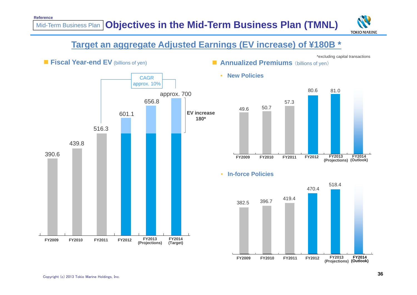

### **Target an aggregate Adjusted Earnings (EV increase) of ¥180B \***

•

\*excluding capital transactions



**Annualized Premiums** (billions of yen)





**New Policies**

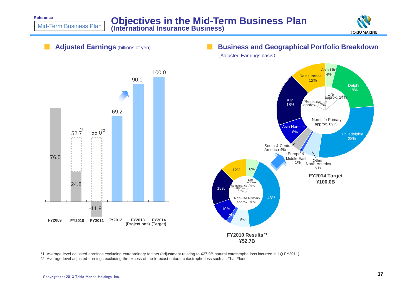**Reference**

Mid-Term Business Plan





\*1: Average-level adjusted earnings excluding extraordinary factors (adjustment relating to ¥27.9B natural catastrophe loss incurred in 1Q FY2011) \*2: Average-level adjusted earnings excluding the excess of the forecast natural catastrophe loss such as Thai Flood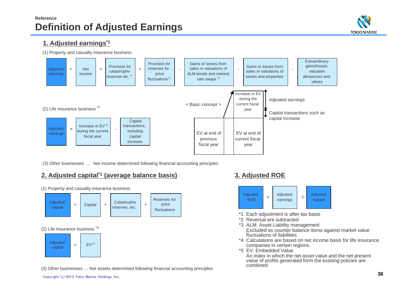### **Reference Definition of Adjusted Earnings**



### **1. Adjusted earnings\*1**

(1) Property and casualty insurance business



(3) Other businesses … Net income determined following financial accounting principles

### **2. Adjusted capital\*1 (average balance basis) 3. Adjusted ROE**

+ Catastrophe reserves, etc. (2) Life insurance business \*4 (1) Property and casualty insurance business Reserves for price fluctuations Adjusted capital = $\begin{array}{|c|c|c|c|c|}\n \hline\n \end{array}$  Capital  $\begin{array}{|c|c|c|c|}\n \hline\n \end{array}$  + Adjusted capital = $EV<sup>*</sup>5$ 

(3) Other businesses … Net assets determined following financial accounting principles



- \*1 Each adjustment is after-tax basis
- \*2 Reversal are subtracted
- \*3 ALM: Asset Liability management Excluded as counter balance items against market value fluctuations of liabilities
- \*4 Calculations are based on net income basis for life insurance companies in certain regions.
- \*5 EV: Embedded Value

An index in which the net asset value and the net present value of profits generated form the existing policies are combined